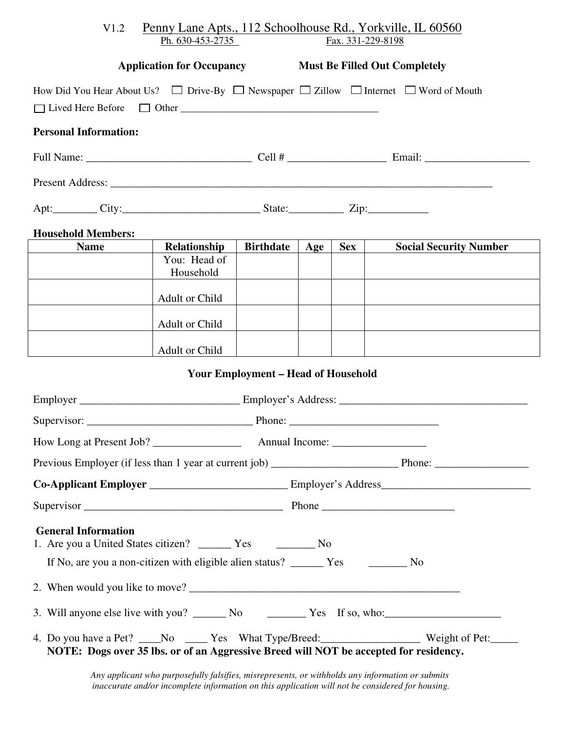| Penny Lane Apts., 112 Schoolhouse Rd., Yorkville, IL 60560<br>V1.2<br>Ph. 630-453-2735<br>Fax. 331-229-8198    |                                                                                                                                                                                                                                |                                            |     |            |                                                                                       |  |  |  |
|----------------------------------------------------------------------------------------------------------------|--------------------------------------------------------------------------------------------------------------------------------------------------------------------------------------------------------------------------------|--------------------------------------------|-----|------------|---------------------------------------------------------------------------------------|--|--|--|
| <b>Application for Occupancy Must Be Filled Out Completely</b>                                                 |                                                                                                                                                                                                                                |                                            |     |            |                                                                                       |  |  |  |
| How Did You Hear About Us? $\Box$ Drive-By $\Box$ Newspaper $\Box$ Zillow $\Box$ Internet $\Box$ Word of Mouth |                                                                                                                                                                                                                                |                                            |     |            |                                                                                       |  |  |  |
| <b>Personal Information:</b>                                                                                   |                                                                                                                                                                                                                                |                                            |     |            |                                                                                       |  |  |  |
|                                                                                                                |                                                                                                                                                                                                                                |                                            |     |            |                                                                                       |  |  |  |
|                                                                                                                |                                                                                                                                                                                                                                |                                            |     |            |                                                                                       |  |  |  |
|                                                                                                                | Apt: City: City: City: City: City: City: City: City: City: City: City: City: City: City: City: City: City: City: City: City: City: City: City: City: City: City: City: City: City: City: City: City: City: City: City: City: C |                                            |     |            |                                                                                       |  |  |  |
| <b>Household Members:</b>                                                                                      |                                                                                                                                                                                                                                |                                            |     |            |                                                                                       |  |  |  |
| <b>Name</b>                                                                                                    | Relationship<br>You: Head of<br>Household                                                                                                                                                                                      | <b>Birthdate</b>                           | Age | <b>Sex</b> | <b>Social Security Number</b>                                                         |  |  |  |
|                                                                                                                | Adult or Child                                                                                                                                                                                                                 |                                            |     |            |                                                                                       |  |  |  |
|                                                                                                                | Adult or Child                                                                                                                                                                                                                 |                                            |     |            |                                                                                       |  |  |  |
|                                                                                                                | Adult or Child                                                                                                                                                                                                                 |                                            |     |            |                                                                                       |  |  |  |
|                                                                                                                |                                                                                                                                                                                                                                | <b>Your Employment - Head of Household</b> |     |            |                                                                                       |  |  |  |
|                                                                                                                |                                                                                                                                                                                                                                |                                            |     |            |                                                                                       |  |  |  |
|                                                                                                                |                                                                                                                                                                                                                                |                                            |     |            |                                                                                       |  |  |  |
|                                                                                                                |                                                                                                                                                                                                                                |                                            |     |            |                                                                                       |  |  |  |
|                                                                                                                |                                                                                                                                                                                                                                |                                            |     |            |                                                                                       |  |  |  |
|                                                                                                                |                                                                                                                                                                                                                                |                                            |     |            |                                                                                       |  |  |  |
|                                                                                                                |                                                                                                                                                                                                                                |                                            |     |            |                                                                                       |  |  |  |
| <b>General Information</b>                                                                                     |                                                                                                                                                                                                                                |                                            |     |            |                                                                                       |  |  |  |
|                                                                                                                |                                                                                                                                                                                                                                |                                            |     |            |                                                                                       |  |  |  |
| 2. When would you like to move?                                                                                |                                                                                                                                                                                                                                |                                            |     |            |                                                                                       |  |  |  |
|                                                                                                                |                                                                                                                                                                                                                                |                                            |     |            |                                                                                       |  |  |  |
| NOTE: Dogs over 35 lbs. or of an Aggressive Breed will NOT be accepted for residency.                          |                                                                                                                                                                                                                                |                                            |     |            | 4. Do you have a Pet? ____No ____Yes What Type/Breed: _________________Weight of Pet: |  |  |  |

*Any applicant who purposefully falsifies, misrepresents, or withholds any information or submits inaccurate and/or incomplete information on this application will not be considered for housing.*